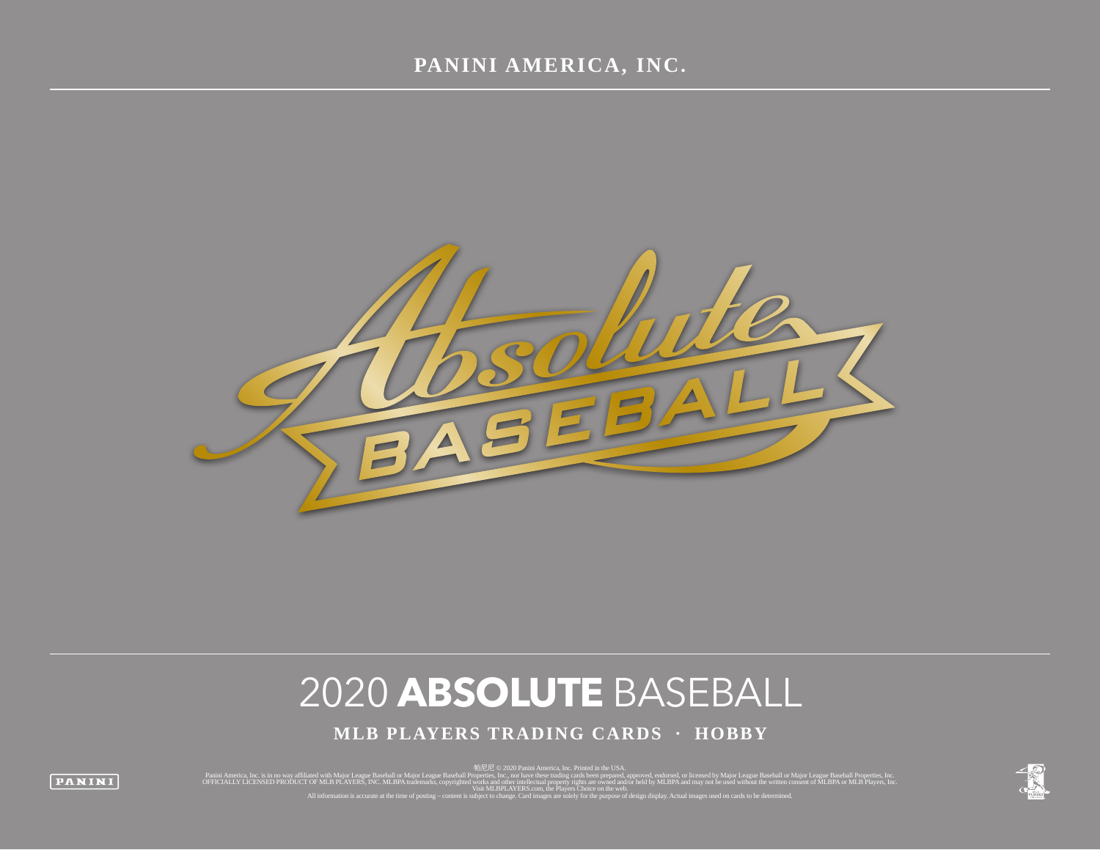

# 2020 **ABSOLUTE** BASEBALL

**MLB PLAYERS TRADING CARDS · HOBBY**

panini America, Inc. is in no way affiliated with Major League Baseball or Major League Baseball or Major League Baseball or Major League Baseball or Major League Baseball Properties, Inc. [1] [1] [1] [1] [1] [1] [1] [1]

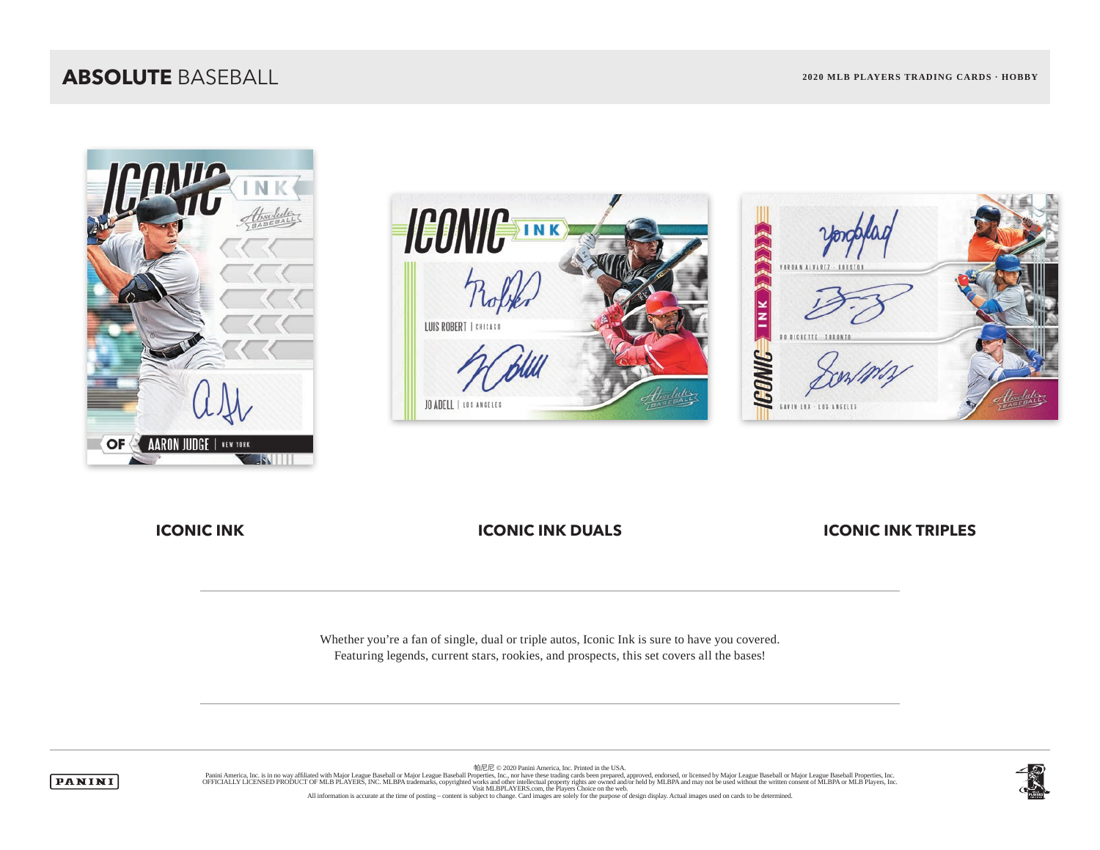### **ABSOLUTE** BASEBALL **2020 MLB PLAYERS TRADING CARDS · HOBBY**







**ICONIC INK ICONIC INK DUALS** ICONIC INK TRIPLES

Whether you're a fan of single, dual or triple autos, Iconic Ink is sure to have you covered. Featuring legends, current stars, rookies, and prospects, this set covers all the bases!



帕尼尼 © 2020 Panini America, Inc. Printed in the USA. Panini America, Inc. is in no way affiliated with Major League Baseball or Major League Baseball Properties, Inc. Journal of Major League Baseball Properties, Inc. Decise in the United States Inc. We are trading cards been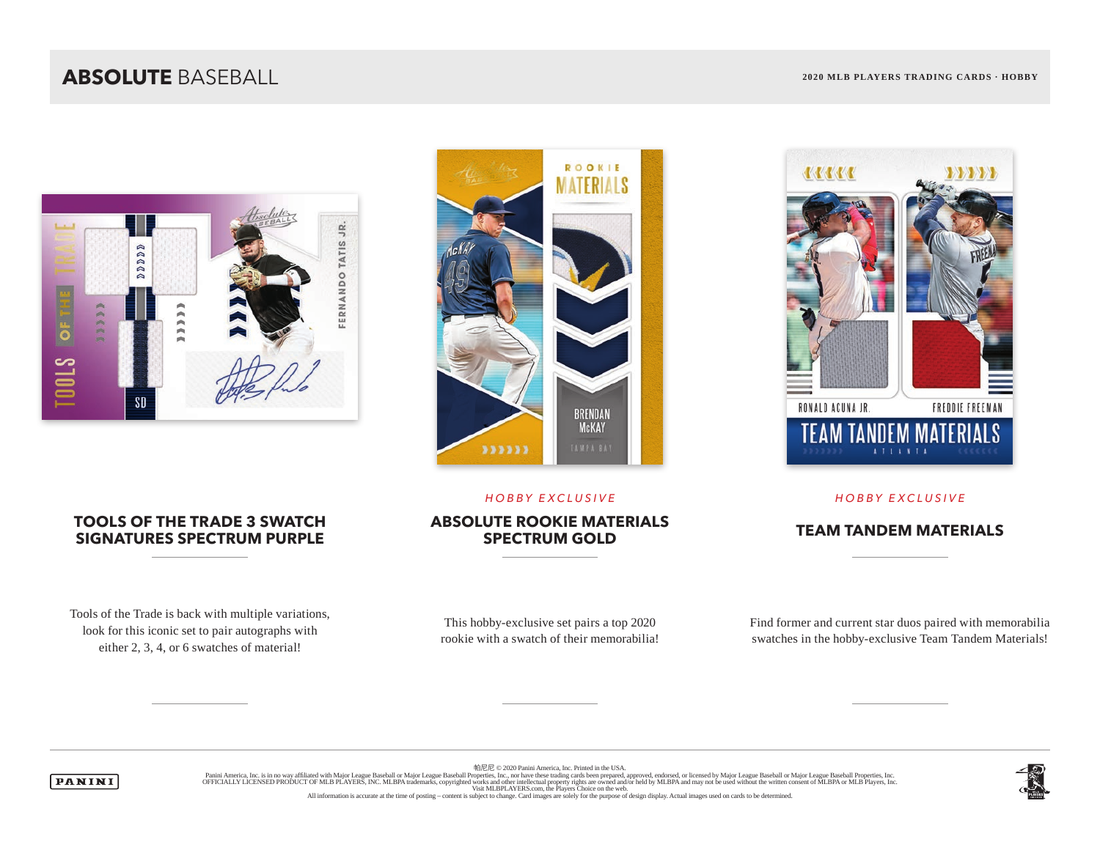## **ABSOLUTE** BASEBALL **2020 MLB PLAYERS TRADING CARDS · HOBBY**



### **TOOLS OF THE TRADE 3 SWATCH SIGNATURES SPECTRUM PURPLE**

Tools of the Trade is back with multiple variations, look for this iconic set to pair autographs with either 2, 3, 4, or 6 swatches of material!



### *HOBBY EXCLUSIVE HOBBY EXCLUSIVE*

# **ABSOLUTE ROOKIE MATERIALS**

This hobby-exclusive set pairs a top 2020 rookie with a swatch of their memorabilia!



Find former and current star duos paired with memorabilia swatches in the hobby-exclusive Team Tandem Materials!

帕尼尼 © 2020 Panini America, Inc. Printed in the USA.



Panini America, Inc. is in no way affiliated with Major League Baseball or Major League Baseball Properties, Inc. Journal of Major League Baseball Properties, Inc. Decise in the United States Inc. We are trading cards been



**TEAM TANDEM MATERIALS** 

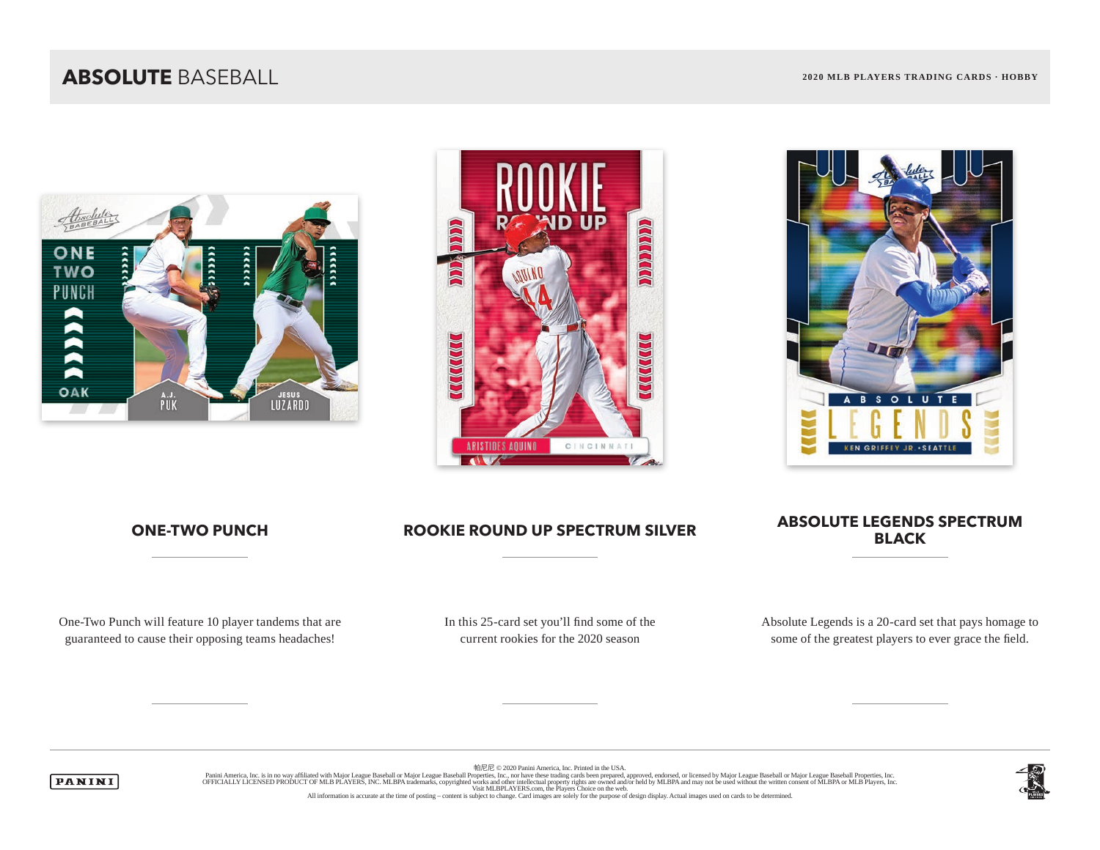## **ABSOLUTE** BASEBALL **2020 MLB PLAYERS TRADING CARDS · HOBBY**







One-Two Punch will feature 10 player tandems that are guaranteed to cause their opposing teams headaches!

### **ONE-TWO PUNCH ROOKIE ROUND UP SPECTRUM SILVER** ABSOLUTE LEGENDS SPECTRUM **BLACK**

In this 25-card set you'll find some of the current rookies for the 2020 season

Absolute Legends is a 20-card set that pays homage to some of the greatest players to ever grace the field.



帕尼尼 © 2020 Panini America, Inc. Printed in the USA. Panini America, Inc. is in no way affiliated with Major League Baseball or Major League Baseball Properties, Inc. Journal of Major League Baseball Properties, Inc. Decise in the United States Inc. We are trading cards been